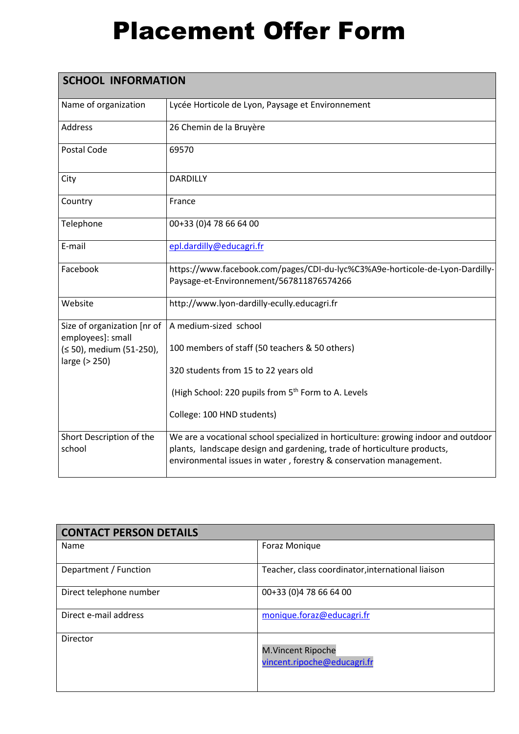## Placement Offer Form

| <b>SCHOOL INFORMATION</b>                        |                                                                                                                                                                                                                                     |  |
|--------------------------------------------------|-------------------------------------------------------------------------------------------------------------------------------------------------------------------------------------------------------------------------------------|--|
| Name of organization                             | Lycée Horticole de Lyon, Paysage et Environnement                                                                                                                                                                                   |  |
| Address                                          | 26 Chemin de la Bruyère                                                                                                                                                                                                             |  |
| Postal Code                                      | 69570                                                                                                                                                                                                                               |  |
| City                                             | <b>DARDILLY</b>                                                                                                                                                                                                                     |  |
| Country                                          | France                                                                                                                                                                                                                              |  |
| Telephone                                        | 00+33 (0)4 78 66 64 00                                                                                                                                                                                                              |  |
| E-mail                                           | epl.dardilly@educagri.fr                                                                                                                                                                                                            |  |
| Facebook                                         | https://www.facebook.com/pages/CDI-du-lyc%C3%A9e-horticole-de-Lyon-Dardilly-<br>Paysage-et-Environnement/567811876574266                                                                                                            |  |
| Website                                          | http://www.lyon-dardilly-ecully.educagri.fr                                                                                                                                                                                         |  |
| Size of organization [nr of<br>employees]: small | A medium-sized school                                                                                                                                                                                                               |  |
| (≤ 50), medium (51-250),<br>large (> 250)        | 100 members of staff (50 teachers & 50 others)                                                                                                                                                                                      |  |
|                                                  | 320 students from 15 to 22 years old                                                                                                                                                                                                |  |
|                                                  | (High School: 220 pupils from 5 <sup>th</sup> Form to A. Levels                                                                                                                                                                     |  |
|                                                  | College: 100 HND students)                                                                                                                                                                                                          |  |
| Short Description of the<br>school               | We are a vocational school specialized in horticulture: growing indoor and outdoor<br>plants, landscape design and gardening, trade of horticulture products,<br>environmental issues in water, forestry & conservation management. |  |

| <b>CONTACT PERSON DETAILS</b> |                                                         |  |
|-------------------------------|---------------------------------------------------------|--|
| Name                          | Foraz Monique                                           |  |
| Department / Function         | Teacher, class coordinator, international liaison       |  |
| Direct telephone number       | 00+33 (0)4 78 66 64 00                                  |  |
| Direct e-mail address         | monique.foraz@educagri.fr                               |  |
| Director                      | <b>M.Vincent Ripoche</b><br>vincent.ripoche@educagri.fr |  |